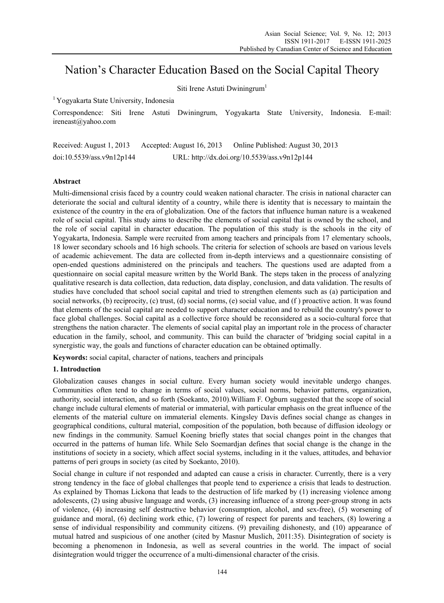# Nation's Character Education Based on the Social Capital Theory

Siti Irene Astuti Dwiningrum<sup>1</sup>

1 Yogyakarta State University, Indonesia

Correspondence: Siti Irene Astuti Dwiningrum, Yogyakarta State University, Indonesia. E-mail: ireneast@yahoo.com

Received: August 1, 2013 Accepted: August 16, 2013 Online Published: August 30, 2013 doi:10.5539/ass.v9n12p144 URL: http://dx.doi.org/10.5539/ass.v9n12p144

## **Abstract**

Multi-dimensional crisis faced by a country could weaken national character. The crisis in national character can deteriorate the social and cultural identity of a country, while there is identity that is necessary to maintain the existence of the country in the era of globalization. One of the factors that influence human nature is a weakened role of social capital. This study aims to describe the elements of social capital that is owned by the school, and the role of social capital in character education. The population of this study is the schools in the city of Yogyakarta, Indonesia. Sample were recruited from among teachers and principals from 17 elementary schools, 18 lower secondary schools and 16 high schools. The criteria for selection of schools are based on various levels of academic achievement. The data are collected from in-depth interviews and a questionnaire consisting of open-ended questions administered on the principals and teachers. The questions used are adapted from a questionnaire on social capital measure written by the World Bank. The steps taken in the process of analyzing qualitative research is data collection, data reduction, data display, conclusion, and data validation. The results of studies have concluded that school social capital and tried to strengthen elements such as (a) participation and social networks, (b) reciprocity, (c) trust, (d) social norms, (e) social value, and (f ) proactive action. It was found that elements of the social capital are needed to support character education and to rebuild the country's power to face global challenges. Social capital as a collective force should be reconsidered as a socio-cultural force that strengthens the nation character. The elements of social capital play an important role in the process of character education in the family, school, and community. This can build the character of 'bridging social capital in a synergistic way, the goals and functions of character education can be obtained optimally.

**Keywords:** social capital, character of nations, teachers and principals

## **1. Introduction**

Globalization causes changes in social culture. Every human society would inevitable undergo changes. Communities often tend to change in terms of social values, social norms, behavior patterns, organization, authority, social interaction, and so forth (Soekanto, 2010).William F. Ogburn suggested that the scope of social change include cultural elements of material or immaterial, with particular emphasis on the great influence of the elements of the material culture on immaterial elements. Kingsley Davis defines social change as changes in geographical conditions, cultural material, composition of the population, both because of diffusion ideology or new findings in the community. Samuel Koening briefly states that social changes point in the changes that occurred in the patterns of human life. While Selo Soemardjan defines that social change is the change in the institutions of society in a society, which affect social systems, including in it the values, attitudes, and behavior patterns of peri groups in society (as cited by Soekanto, 2010).

Social change in culture if not responded and adapted can cause a crisis in character. Currently, there is a very strong tendency in the face of global challenges that people tend to experience a crisis that leads to destruction. As explained by Thomas Lickona that leads to the destruction of life marked by (1) increasing violence among adolescents, (2) using abusive language and words, (3) increasing influence of a strong peer-group strong in acts of violence, (4) increasing self destructive behavior (consumption, alcohol, and sex-free), (5) worsening of guidance and moral, (6) declining work ethic, (7) lowering of respect for parents and teachers, (8) lowering a sense of individual responsibility and community citizens. (9) prevailing dishonesty, and (10) appearance of mutual hatred and suspicious of one another (cited by Masnur Muslich, 2011:35). Disintegration of society is becoming a phenomenon in Indonesia, as well as several countries in the world. The impact of social disintegration would trigger the occurrence of a multi-dimensional character of the crisis.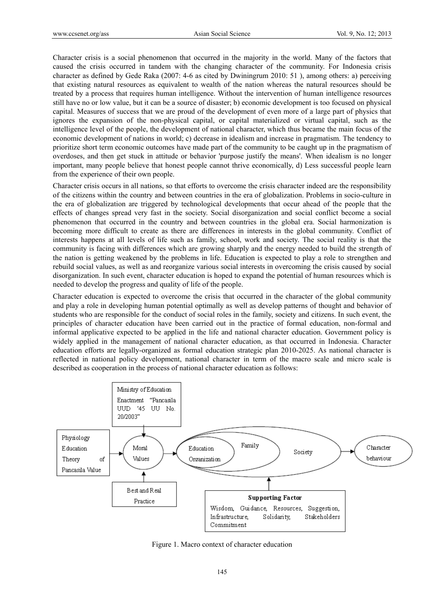Character crisis is a social phenomenon that occurred in the majority in the world. Many of the factors that caused the crisis occurred in tandem with the changing character of the community. For Indonesia crisis character as defined by Gede Raka (2007: 4-6 as cited by Dwiningrum 2010: 51 ), among others: a) perceiving that existing natural resources as equivalent to wealth of the nation whereas the natural resources should be treated by a process that requires human intelligence. Without the intervention of human intelligence resources still have no or low value, but it can be a source of disaster; b) economic development is too focused on physical capital. Measures of success that we are proud of the development of even more of a large part of physics that ignores the expansion of the non-physical capital, or capital materialized or virtual capital, such as the intelligence level of the people, the development of national character, which thus became the main focus of the economic development of nations in world; c) decrease in idealism and increase in pragmatism. The tendency to prioritize short term economic outcomes have made part of the community to be caught up in the pragmatism of overdoses, and then get stuck in attitude or behavior 'purpose justify the means'. When idealism is no longer important, many people believe that honest people cannot thrive economically, d) Less successful people learn from the experience of their own people.

Character crisis occurs in all nations, so that efforts to overcome the crisis character indeed are the responsibility of the citizens within the country and between countries in the era of globalization. Problems in socio-culture in the era of globalization are triggered by technological developments that occur ahead of the people that the effects of changes spread very fast in the society. Social disorganization and social conflict become a social phenomenon that occurred in the country and between countries in the global era. Social harmonization is becoming more difficult to create as there are differences in interests in the global community. Conflict of interests happens at all levels of life such as family, school, work and society. The social reality is that the community is facing with differences which are growing sharply and the energy needed to build the strength of the nation is getting weakened by the problems in life. Education is expected to play a role to strengthen and rebuild social values, as well as and reorganize various social interests in overcoming the crisis caused by social disorganization. In such event, character education is hoped to expand the potential of human resources which is needed to develop the progress and quality of life of the people.

Character education is expected to overcome the crisis that occurred in the character of the global community and play a role in developing human potential optimally as well as develop patterns of thought and behavior of students who are responsible for the conduct of social roles in the family, society and citizens. In such event, the principles of character education have been carried out in the practice of formal education, non-formal and informal applicative expected to be applied in the life and national character education. Government policy is widely applied in the management of national character education, as that occurred in Indonesia. Character education efforts are legally-organized as formal education strategic plan 2010-2025. As national character is reflected in national policy development, national character in term of the macro scale and micro scale is described as cooperation in the process of national character education as follows:



Figure 1. Macro context of character education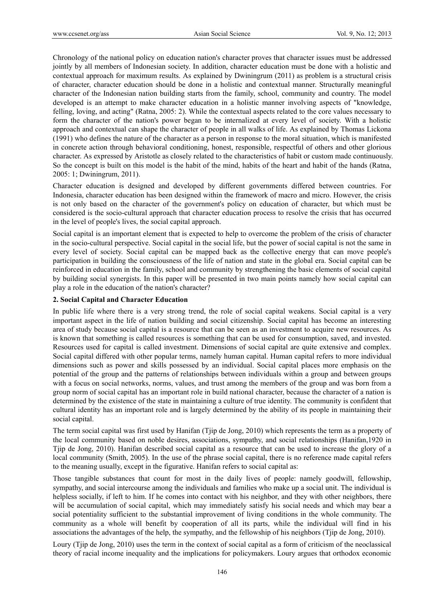Chronology of the national policy on education nation's character proves that character issues must be addressed jointly by all members of Indonesian society. In addition, character education must be done with a holistic and contextual approach for maximum results. As explained by Dwiningrum (2011) as problem is a structural crisis of character, character education should be done in a holistic and contextual manner. Structurally meaningful character of the Indonesian nation building starts from the family, school, community and country. The model developed is an attempt to make character education in a holistic manner involving aspects of "knowledge, felling, loving, and acting" (Ratna, 2005: 2). While the contextual aspects related to the core values necessary to form the character of the nation's power began to be internalized at every level of society. With a holistic approach and contextual can shape the character of people in all walks of life. As explained by Thomas Lickona (1991) who defines the nature of the character as a person in response to the moral situation, which is manifested in concrete action through behavioral conditioning, honest, responsible, respectful of others and other glorious character. As expressed by Aristotle as closely related to the characteristics of habit or custom made continuously. So the concept is built on this model is the habit of the mind, habits of the heart and habit of the hands (Ratna, 2005: 1; Dwiningrum, 2011).

Character education is designed and developed by different governments differed between countries. For Indonesia, character education has been designed within the framework of macro and micro. However, the crisis is not only based on the character of the government's policy on education of character, but which must be considered is the socio-cultural approach that character education process to resolve the crisis that has occurred in the level of people's lives, the social capital approach.

Social capital is an important element that is expected to help to overcome the problem of the crisis of character in the socio-cultural perspective. Social capital in the social life, but the power of social capital is not the same in every level of society. Social capital can be mapped back as the collective energy that can move people's participation in building the consciousness of the life of nation and state in the global era. Social capital can be reinforced in education in the family, school and community by strengthening the basic elements of social capital by building social synergists. In this paper will be presented in two main points namely how social capital can play a role in the education of the nation's character?

## **2. Social Capital and Character Education**

In public life where there is a very strong trend, the role of social capital weakens. Social capital is a very important aspect in the life of nation building and social citizenship. Social capital has become an interesting area of study because social capital is a resource that can be seen as an investment to acquire new resources. As is known that something is called resources is something that can be used for consumption, saved, and invested. Resources used for capital is called investment. Dimensions of social capital are quite extensive and complex. Social capital differed with other popular terms, namely human capital. Human capital refers to more individual dimensions such as power and skills possessed by an individual. Social capital places more emphasis on the potential of the group and the patterns of relationships between individuals within a group and between groups with a focus on social networks, norms, values, and trust among the members of the group and was born from a group norm of social capital has an important role in build national character, because the character of a nation is determined by the existence of the state in maintaining a culture of true identity. The community is confident that cultural identity has an important role and is largely determined by the ability of its people in maintaining their social capital.

The term social capital was first used by Hanifan (Tjip de Jong, 2010) which represents the term as a property of the local community based on noble desires, associations, sympathy, and social relationships (Hanifan,1920 in Tjip de Jong, 2010). Hanifan described social capital as a resource that can be used to increase the glory of a local community (Smith, 2005). In the use of the phrase social capital, there is no reference made capital refers to the meaning usually, except in the figurative. Hanifan refers to social capital as:

Those tangible substances that count for most in the daily lives of people: namely goodwill, fellowship, sympathy, and social intercourse among the individuals and families who make up a social unit. The individual is helpless socially, if left to him. If he comes into contact with his neighbor, and they with other neighbors, there will be accumulation of social capital, which may immediately satisfy his social needs and which may bear a social potentiality sufficient to the substantial improvement of living conditions in the whole community. The community as a whole will benefit by cooperation of all its parts, while the individual will find in his associations the advantages of the help, the sympathy, and the fellowship of his neighbors (Tjip de Jong, 2010).

Loury (Tjip de Jong, 2010) uses the term in the context of social capital as a form of criticism of the neoclassical theory of racial income inequality and the implications for policymakers. Loury argues that orthodox economic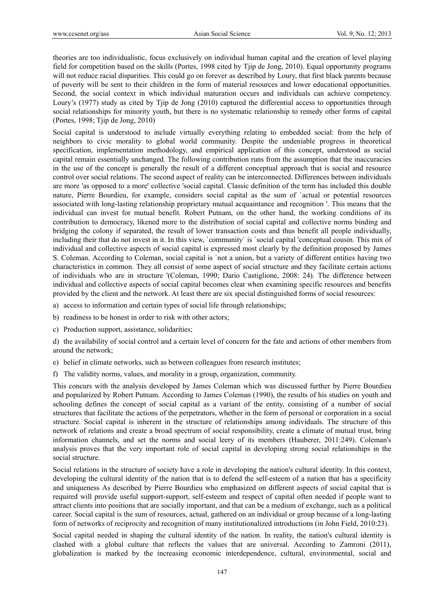theories are too individualistic, focus exclusively on individual human capital and the creation of level playing field for competition based on the skills (Portes, 1998 cited by Tjip de Jong, 2010). Equal opportunity programs will not reduce racial disparities. This could go on forever as described by Loury, that first black parents because of poverty will be sent to their children in the form of material resources and lower educational opportunities. Second, the social context in which individual maturation occurs and individuals can achieve competency. Loury's (1977) study as cited by Tjip de Jong (2010) captured the differential access to opportunities through social relationships for minority youth, but there is no systematic relationship to remedy other forms of capital (Portes, 1998; Tjip de Jong, 2010)

Social capital is understood to include virtually everything relating to embedded social: from the help of neighbors to civic morality to global world community. Despite the undeniable progress in theoretical specification, implementation methodology, and empirical application of this concept, understood as social capital remain essentially unchanged. The following contribution runs from the assumption that the inaccuracies in the use of the concept is generally the result of a different conceptual approach that is social and resource control over social relations. The second aspect of reality can be interconnected. Differences between individuals are more 'as opposed to a more' collective 'social capital. Classic definition of the term has included this double nature, Pierre Bourdieu, for example, considers social capital as the sum of `actual or potential resources associated with long-lasting relationship proprietary mutual acquaintance and recognition '. This means that the individual can invest for mutual benefit. Robert Putnam, on the other hand, the working conditions of its contribution to democracy, likened more to the distribution of social capital and collective norms binding and bridging the colony if separated, the result of lower transaction costs and thus benefit all people individually, including their that do not invest in it. In this view, `community` is `social capital 'conceptual cousin. This mix of individual and collective aspects of social capital is expressed most clearly by the definition proposed by James S. Coleman. According to Coleman, social capital is `not a union, but a variety of different entities having two characteristics in common. They all consist of some aspect of social structure and they facilitate certain actions of individuals who are in structure '(Coleman, 1990; Dario Castiglione, 2008: 24). The difference between individual and collective aspects of social capital becomes clear when examining specific resources and benefits provided by the client and the network. At least there are six special distinguished forms of social resources:

- a) access to information and certain types of social life through relationships;
- b) readiness to be honest in order to risk with other actors;
- c) Production support, assistance, solidarities;

d) the availability of social control and a certain level of concern for the fate and actions of other members from around the network;

- e) belief in climate networks, such as between colleagues from research institutes;
- f) The validity norms, values, and morality in a group, organization, community.

This concurs with the analysis developed by James Coleman which was discussed further by Pierre Bourdieu and popularized by Robert Putnam. According to James Coleman (1990), the results of his studies on youth and schooling defines the concept of social capital as a variant of the entity, consisting of a number of social structures that facilitate the actions of the perpetrators, whether in the form of personal or corporation in a social structure. Social capital is inherent in the structure of relationships among individuals. The structure of this network of relations and create a broad spectrum of social responsibility, create a climate of mutual trust, bring information channels, and set the norms and social leery of its members (Hauberer, 2011:249). Coleman's analysis proves that the very important role of social capital in developing strong social relationships in the social structure.

Social relations in the structure of society have a role in developing the nation's cultural identity. In this context, developing the cultural identity of the nation that is to defend the self-esteem of a nation that has a specificity and uniqueness As described by Pierre Bourdieu who emphasized on different aspects of social capital that is required will provide useful support-support, self-esteem and respect of capital often needed if people want to attract clients into positions that are socially important, and that can be a medium of exchange, such as a political career. Social capital is the sum of resources, actual, gathered on an individual or group because of a long-lasting form of networks of reciprocity and recognition of many institutionalized introductions (in John Field, 2010:23).

Social capital needed in shaping the cultural identity of the nation. In reality, the nation's cultural identity is clashed with a global culture that reflects the values that are universal. According to Zamroni (2011), globalization is marked by the increasing economic interdependence, cultural, environmental, social and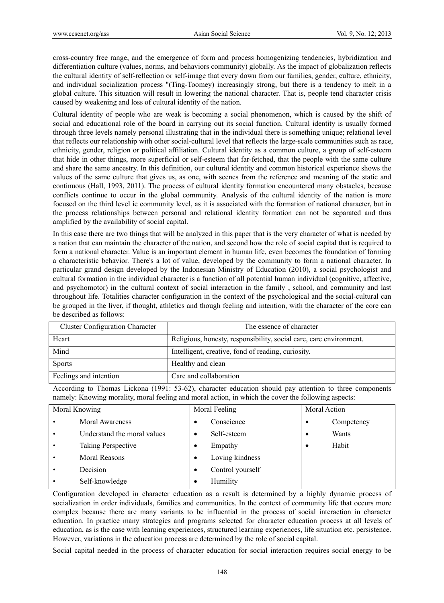cross-country free range, and the emergence of form and process homogenizing tendencies, hybridization and differentiation culture (values, norms, and behaviors community) globally. As the impact of globalization reflects the cultural identity of self-reflection or self-image that every down from our families, gender, culture, ethnicity, and individual socialization process "(Ting-Toomey) increasingly strong, but there is a tendency to melt in a global culture. This situation will result in lowering the national character. That is, people tend character crisis caused by weakening and loss of cultural identity of the nation.

Cultural identity of people who are weak is becoming a social phenomenon, which is caused by the shift of social and educational role of the board in carrying out its social function. Cultural identity is usually formed through three levels namely personal illustrating that in the individual there is something unique; relational level that reflects our relationship with other social-cultural level that reflects the large-scale communities such as race, ethnicity, gender, religion or political affiliation. Cultural identity as a common culture, a group of self-esteem that hide in other things, more superficial or self-esteem that far-fetched, that the people with the same culture and share the same ancestry. In this definition, our cultural identity and common historical experience shows the values of the same culture that gives us, as one, with scenes from the reference and meaning of the static and continuous (Hall, 1993, 2011). The process of cultural identity formation encountered many obstacles, because conflicts continue to occur in the global community. Analysis of the cultural identity of the nation is more focused on the third level ie community level, as it is associated with the formation of national character, but in the process relationships between personal and relational identity formation can not be separated and thus amplified by the availability of social capital.

In this case there are two things that will be analyzed in this paper that is the very character of what is needed by a nation that can maintain the character of the nation, and second how the role of social capital that is required to form a national character. Value is an important element in human life, even becomes the foundation of forming a characteristic behavior. There's a lot of value, developed by the community to form a national character. In particular grand design developed by the Indonesian Ministry of Education (2010), a social psychologist and cultural formation in the individual character is a function of all potential human individual (cognitive, affective, and psychomotor) in the cultural context of social interaction in the family , school, and community and last throughout life. Totalities character configuration in the context of the psychological and the social-cultural can be grouped in the liver, if thought, athletics and though feeling and intention, with the character of the core can be described as follows:

| <b>Cluster Configuration Character</b> | The essence of character                                           |
|----------------------------------------|--------------------------------------------------------------------|
| Heart                                  | Religious, honesty, responsibility, social care, care environment. |
| Mind                                   | Intelligent, creative, fond of reading, curiosity.                 |
| <b>Sports</b>                          | Healthy and clean                                                  |
| Feelings and intention                 | Care and collaboration                                             |

According to Thomas Lickona (1991: 53-62), character education should pay attention to three components namely: Knowing morality, moral feeling and moral action, in which the cover the following aspects:

| Moral Knowing |                             | Moral Feeling |                  | Moral Action |            |
|---------------|-----------------------------|---------------|------------------|--------------|------------|
|               | Moral Awareness             | ٠             | Conscience       |              | Competency |
|               | Understand the moral values | ٠             | Self-esteem      | ٠            | Wants      |
|               | Taking Perspective          | ٠             | Empathy          |              | Habit      |
|               | <b>Moral Reasons</b>        | $\bullet$     | Loving kindness  |              |            |
|               | Decision                    | ٠             | Control yourself |              |            |
|               | Self-knowledge              | ٠             | Humility         |              |            |

Configuration developed in character education as a result is determined by a highly dynamic process of socialization in order individuals, families and communities. In the context of community life that occurs more complex because there are many variants to be influential in the process of social interaction in character education. In practice many strategies and programs selected for character education process at all levels of education, as is the case with learning experiences, structured learning experiences, life situation etc. persistence. However, variations in the education process are determined by the role of social capital.

Social capital needed in the process of character education for social interaction requires social energy to be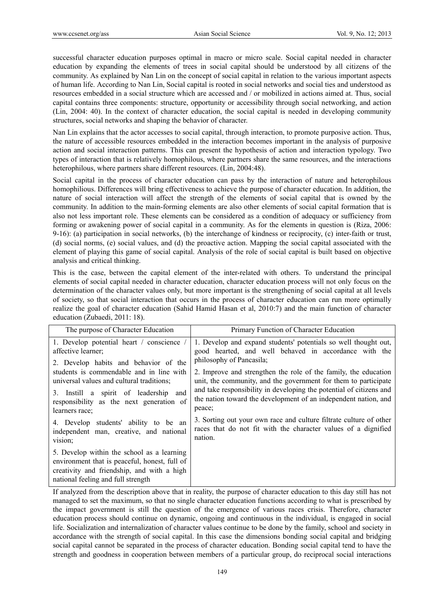successful character education purposes optimal in macro or micro scale. Social capital needed in character education by expanding the elements of trees in social capital should be understood by all citizens of the community. As explained by Nan Lin on the concept of social capital in relation to the various important aspects of human life. According to Nan Lin, Social capital is rooted in social networks and social ties and understood as resources embedded in a social structure which are accessed and / or mobilized in actions aimed at. Thus, social capital contains three components: structure, opportunity or accessibility through social networking, and action (Lin, 2004: 40). In the context of character education, the social capital is needed in developing community structures, social networks and shaping the behavior of character.

Nan Lin explains that the actor accesses to social capital, through interaction, to promote purposive action. Thus, the nature of accessible resources embedded in the interaction becomes important in the analysis of purposive action and social interaction patterns. This can present the hypothesis of action and interaction typology. Two types of interaction that is relatively homophilous, where partners share the same resources, and the interactions heterophilous, where partners share different resources. (Lin, 2004:48).

Social capital in the process of character education can pass by the interaction of nature and heterophilous homophilious. Differences will bring effectiveness to achieve the purpose of character education. In addition, the nature of social interaction will affect the strength of the elements of social capital that is owned by the community. In addition to the main-forming elements are also other elements of social capital formation that is also not less important role. These elements can be considered as a condition of adequacy or sufficiency from forming or awakening power of social capital in a community. As for the elements in question is (Riza, 2006: 9-16): (a) participation in social networks, (b) the interchange of kindness or reciprocity, (c) inter-faith or trust, (d) social norms, (e) social values, and (d) the proactive action. Mapping the social capital associated with the element of playing this game of social capital. Analysis of the role of social capital is built based on objective analysis and critical thinking.

This is the case, between the capital element of the inter-related with others. To understand the principal elements of social capital needed in character education, character education process will not only focus on the determination of the character values only, but more important is the strengthening of social capital at all levels of society, so that social interaction that occurs in the process of character education can run more optimally realize the goal of character education (Sahid Hamid Hasan et al, 2010:7) and the main function of character education (Zubaedi, 2011: 18).

| The purpose of Character Education                                                                                                                                              | Primary Function of Character Education                                                                                                                                                                                                                                                                            |  |  |  |
|---------------------------------------------------------------------------------------------------------------------------------------------------------------------------------|--------------------------------------------------------------------------------------------------------------------------------------------------------------------------------------------------------------------------------------------------------------------------------------------------------------------|--|--|--|
| 1. Develop potential heart / conscience /<br>affective learner;                                                                                                                 | 1. Develop and expand students' potentials so well thought out,<br>good hearted, and well behaved in accordance with the                                                                                                                                                                                           |  |  |  |
| 2. Develop habits and behavior of the<br>students is commendable and in line with<br>universal values and cultural traditions;                                                  | philosophy of Pancasila;<br>2. Improve and strengthen the role of the family, the education<br>unit, the community, and the government for them to participate<br>and take responsibility in developing the potential of citizens and<br>the nation toward the development of an independent nation, and<br>peace; |  |  |  |
| 3. Instill a spirit of leadership and<br>responsibility as the next generation of<br>learners race:                                                                             |                                                                                                                                                                                                                                                                                                                    |  |  |  |
| 4. Develop students' ability to be an<br>independent man, creative, and national<br>vision;                                                                                     | 3. Sorting out your own race and culture filtrate culture of other<br>races that do not fit with the character values of a dignified<br>nation.                                                                                                                                                                    |  |  |  |
| 5. Develop within the school as a learning<br>environment that is peaceful, honest, full of<br>creativity and friendship, and with a high<br>national feeling and full strength |                                                                                                                                                                                                                                                                                                                    |  |  |  |

If analyzed from the description above that in reality, the purpose of character education to this day still has not managed to set the maximum, so that no single character education functions according to what is prescribed by the impact government is still the question of the emergence of various races crisis. Therefore, character education process should continue on dynamic, ongoing and continuous in the individual, is engaged in social life. Socialization and internalization of character values continue to be done by the family, school and society in accordance with the strength of social capital. In this case the dimensions bonding social capital and bridging social capital cannot be separated in the process of character education. Bonding social capital tend to have the strength and goodness in cooperation between members of a particular group, do reciprocal social interactions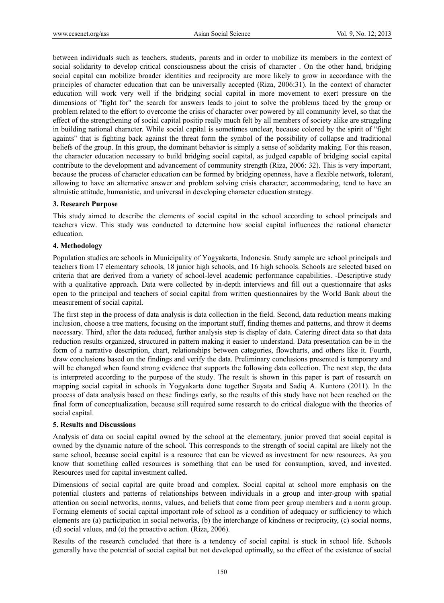between individuals such as teachers, students, parents and in order to mobilize its members in the context of social solidarity to develop critical consciousness about the crisis of character . On the other hand, bridging social capital can mobilize broader identities and reciprocity are more likely to grow in accordance with the principles of character education that can be universally accepted (Riza, 2006:31). In the context of character education will work very well if the bridging social capital in more movement to exert pressure on the dimensions of "fight for" the search for answers leads to joint to solve the problems faced by the group or problem related to the effort to overcome the crisis of character over powered by all community level, so that the effect of the strengthening of social capital positip really much felt by all members of society alike are struggling in building national character. While social capital is sometimes unclear, because colored by the spirit of "fight againts" that is fighting back against the threat form the symbol of the possibility of collapse and traditional beliefs of the group. In this group, the dominant behavior is simply a sense of solidarity making. For this reason, the character education necessary to build bridging social capital, as judged capable of bridging social capital contribute to the development and advancement of community strength (Riza, 2006: 32). This is very important, because the process of character education can be formed by bridging openness, have a flexible network, tolerant, allowing to have an alternative answer and problem solving crisis character, accommodating, tend to have an altruistic attitude, humanistic, and universal in developing character education strategy.

## **3. Research Purpose**

This study aimed to describe the elements of social capital in the school according to school principals and teachers view. This study was conducted to determine how social capital influences the national character education.

#### **4. Methodology**

Population studies are schools in Municipality of Yogyakarta, Indonesia. Study sample are school principals and teachers from 17 elementary schools, 18 junior high schools, and 16 high schools. Schools are selected based on criteria that are derived from a variety of school-level academic performance capabilities. -Descriptive study with a qualitative approach. Data were collected by in-depth interviews and fill out a questionnaire that asks open to the principal and teachers of social capital from written questionnaires by the World Bank about the measurement of social capital.

The first step in the process of data analysis is data collection in the field. Second, data reduction means making inclusion, choose a tree matters, focusing on the important stuff, finding themes and patterns, and throw it deems necessary. Third, after the data reduced, further analysis step is display of data. Catering direct data so that data reduction results organized, structured in pattern making it easier to understand. Data presentation can be in the form of a narrative description, chart, relationships between categories, flowcharts, and others like it. Fourth, draw conclusions based on the findings and verify the data. Preliminary conclusions presented is temporary and will be changed when found strong evidence that supports the following data collection. The next step, the data is interpreted according to the purpose of the study. The result is shown in this paper is part of research on mapping social capital in schools in Yogyakarta done together Suyata and Sadiq A. Kuntoro (2011). In the process of data analysis based on these findings early, so the results of this study have not been reached on the final form of conceptualization, because still required some research to do critical dialogue with the theories of social capital.

#### **5. Results and Discussions**

Analysis of data on social capital owned by the school at the elementary, junior proved that social capital is owned by the dynamic nature of the school. This corresponds to the strength of social capital are likely not the same school, because social capital is a resource that can be viewed as investment for new resources. As you know that something called resources is something that can be used for consumption, saved, and invested. Resources used for capital investment called.

Dimensions of social capital are quite broad and complex. Social capital at school more emphasis on the potential clusters and patterns of relationships between individuals in a group and inter-group with spatial attention on social networks, norms, values, and beliefs that come from peer group members and a norm group. Forming elements of social capital important role of school as a condition of adequacy or sufficiency to which elements are (a) participation in social networks, (b) the interchange of kindness or reciprocity, (c) social norms, (d) social values, and (e) the proactive action. (Riza, 2006).

Results of the research concluded that there is a tendency of social capital is stuck in school life. Schools generally have the potential of social capital but not developed optimally, so the effect of the existence of social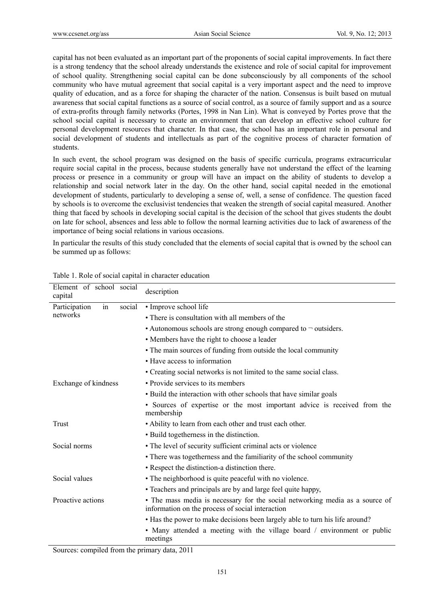capital has not been evaluated as an important part of the proponents of social capital improvements. In fact there is a strong tendency that the school already understands the existence and role of social capital for improvement of school quality. Strengthening social capital can be done subconsciously by all components of the school community who have mutual agreement that social capital is a very important aspect and the need to improve quality of education, and as a force for shaping the character of the nation. Consensus is built based on mutual awareness that social capital functions as a source of social control, as a source of family support and as a source of extra-profits through family networks (Portes, 1998 in Nan Lin). What is conveyed by Portes prove that the school social capital is necessary to create an environment that can develop an effective school culture for personal development resources that character. In that case, the school has an important role in personal and social development of students and intellectuals as part of the cognitive process of character formation of students.

In such event, the school program was designed on the basis of specific curricula, programs extracurricular require social capital in the process, because students generally have not understand the effect of the learning process or presence in a community or group will have an impact on the ability of students to develop a relationship and social network later in the day. On the other hand, social capital needed in the emotional development of students, particularly to developing a sense of, well, a sense of confidence. The question faced by schools is to overcome the exclusivist tendencies that weaken the strength of social capital measured. Another thing that faced by schools in developing social capital is the decision of the school that gives students the doubt on late for school, absences and less able to follow the normal learning activities due to lack of awareness of the importance of being social relations in various occasions.

In particular the results of this study concluded that the elements of social capital that is owned by the school can be summed up as follows:

| Element of school social<br>capital | description                                                                                                                      |  |  |
|-------------------------------------|----------------------------------------------------------------------------------------------------------------------------------|--|--|
| Participation<br>in<br>social       | • Improve school life                                                                                                            |  |  |
| networks                            | • There is consultation with all members of the                                                                                  |  |  |
|                                     | • Autonomous schools are strong enough compared to $\neg$ outsiders.                                                             |  |  |
|                                     | • Members have the right to choose a leader                                                                                      |  |  |
|                                     | • The main sources of funding from outside the local community                                                                   |  |  |
|                                     | • Have access to information                                                                                                     |  |  |
|                                     | • Creating social networks is not limited to the same social class.                                                              |  |  |
| Exchange of kindness                | • Provide services to its members                                                                                                |  |  |
|                                     | • Build the interaction with other schools that have similar goals                                                               |  |  |
|                                     | • Sources of expertise or the most important advice is received from the<br>membership                                           |  |  |
| Trust                               | • Ability to learn from each other and trust each other.                                                                         |  |  |
|                                     | • Build togetherness in the distinction.                                                                                         |  |  |
| Social norms                        | • The level of security sufficient criminal acts or violence                                                                     |  |  |
|                                     | • There was togetherness and the familiarity of the school community                                                             |  |  |
|                                     | • Respect the distinction-a distinction there.                                                                                   |  |  |
| Social values                       | • The neighborhood is quite peaceful with no violence.                                                                           |  |  |
|                                     | • Teachers and principals are by and large feel quite happy,                                                                     |  |  |
| Proactive actions                   | • The mass media is necessary for the social networking media as a source of<br>information on the process of social interaction |  |  |
|                                     | • Has the power to make decisions been largely able to turn his life around?                                                     |  |  |
|                                     | • Many attended a meeting with the village board / environment or public<br>meetings                                             |  |  |

Table 1. Role of social capital in character education

Sources: compiled from the primary data, 2011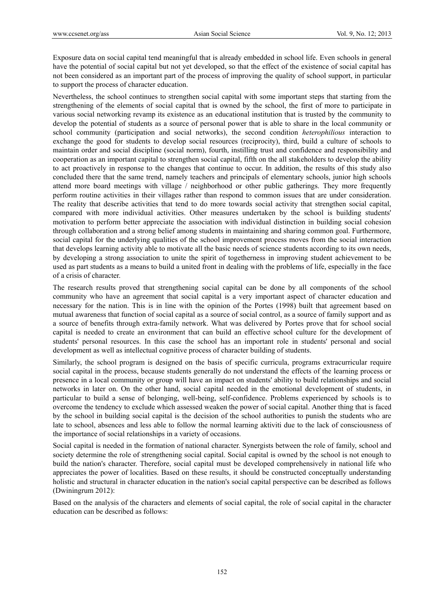Exposure data on social capital tend meaningful that is already embedded in school life. Even schools in general have the potential of social capital but not yet developed, so that the effect of the existence of social capital has not been considered as an important part of the process of improving the quality of school support, in particular to support the process of character education.

Nevertheless, the school continues to strengthen social capital with some important steps that starting from the strengthening of the elements of social capital that is owned by the school, the first of more to participate in various social networking revamp its existence as an educational institution that is trusted by the community to develop the potential of students as a source of personal power that is able to share in the local community or school community (participation and social networks), the second condition *heterophilious* interaction to exchange the good for students to develop social resources (reciprocity), third, build a culture of schools to maintain order and social discipline (social norm), fourth, instilling trust and confidence and responsibility and cooperation as an important capital to strengthen social capital, fifth on the all stakeholders to develop the ability to act proactively in response to the changes that continue to occur. In addition, the results of this study also concluded there that the same trend, namely teachers and principals of elementary schools, junior high schools attend more board meetings with village / neighborhood or other public gatherings. They more frequently perform routine activities in their villages rather than respond to common issues that are under consideration. The reality that describe activities that tend to do more towards social activity that strengthen social capital, compared with more individual activities. Other measures undertaken by the school is building students' motivation to perform better appreciate the association with individual distinction in building social cohesion through collaboration and a strong belief among students in maintaining and sharing common goal. Furthermore, social capital for the underlying qualities of the school improvement process moves from the social interaction that develops learning activity able to motivate all the basic needs of science students according to its own needs, by developing a strong association to unite the spirit of togetherness in improving student achievement to be used as part students as a means to build a united front in dealing with the problems of life, especially in the face of a crisis of character.

The research results proved that strengthening social capital can be done by all components of the school community who have an agreement that social capital is a very important aspect of character education and necessary for the nation. This is in line with the opinion of the Portes (1998) built that agreement based on mutual awareness that function of social capital as a source of social control, as a source of family support and as a source of benefits through extra-family network. What was delivered by Portes prove that for school social capital is needed to create an environment that can build an effective school culture for the development of students' personal resources. In this case the school has an important role in students' personal and social development as well as intellectual cognitive process of character building of students.

Similarly, the school program is designed on the basis of specific curricula, programs extracurricular require social capital in the process, because students generally do not understand the effects of the learning process or presence in a local community or group will have an impact on students' ability to build relationships and social networks in later on. On the other hand, social capital needed in the emotional development of students, in particular to build a sense of belonging, well-being, self-confidence. Problems experienced by schools is to overcome the tendency to exclude which assessed weaken the power of social capital. Another thing that is faced by the school in building social capital is the decision of the school authorities to punish the students who are late to school, absences and less able to follow the normal learning aktiviti due to the lack of consciousness of the importance of social relationships in a variety of occasions.

Social capital is needed in the formation of national character. Synergists between the role of family, school and society determine the role of strengthening social capital. Social capital is owned by the school is not enough to build the nation's character. Therefore, social capital must be developed comprehensively in national life who appreciates the power of localities. Based on these results, it should be constructed conceptually understanding holistic and structural in character education in the nation's social capital perspective can be described as follows (Dwiningrum 2012):

Based on the analysis of the characters and elements of social capital, the role of social capital in the character education can be described as follows: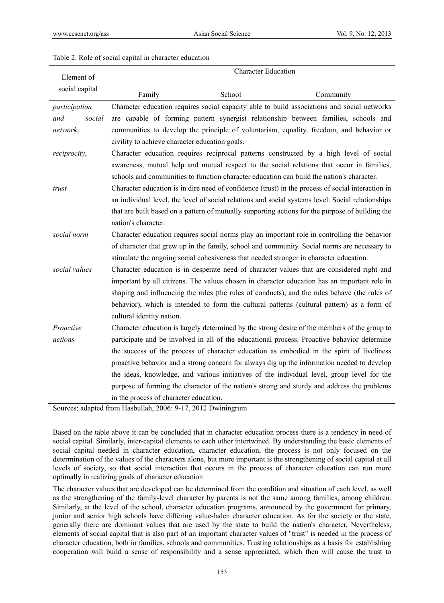#### Table 2. Role of social capital in character education

| Element of     | <b>Character Education</b>                                                                       |        |                                                                                                   |  |  |  |  |  |
|----------------|--------------------------------------------------------------------------------------------------|--------|---------------------------------------------------------------------------------------------------|--|--|--|--|--|
| social capital |                                                                                                  |        |                                                                                                   |  |  |  |  |  |
|                | Family                                                                                           | School | Community                                                                                         |  |  |  |  |  |
| participation  |                                                                                                  |        | Character education requires social capacity able to build associations and social networks       |  |  |  |  |  |
| social<br>and  |                                                                                                  |        | are capable of forming pattern synergist relationship between families, schools and               |  |  |  |  |  |
| network,       | communities to develop the principle of voluntarism, equality, freedom, and behavior or          |        |                                                                                                   |  |  |  |  |  |
|                | civility to achieve character education goals.                                                   |        |                                                                                                   |  |  |  |  |  |
| reciprocity,   |                                                                                                  |        | Character education requires reciprocal patterns constructed by a high level of social            |  |  |  |  |  |
|                |                                                                                                  |        | awareness, mutual help and mutual respect to the social relations that occur in families,         |  |  |  |  |  |
|                |                                                                                                  |        | schools and communities to function character education can build the nation's character.         |  |  |  |  |  |
| trust          |                                                                                                  |        | Character education is in dire need of confidence (trust) in the process of social interaction in |  |  |  |  |  |
|                |                                                                                                  |        | an individual level, the level of social relations and social systems level. Social relationships |  |  |  |  |  |
|                | that are built based on a pattern of mutually supporting actions for the purpose of building the |        |                                                                                                   |  |  |  |  |  |
|                | nation's character.                                                                              |        |                                                                                                   |  |  |  |  |  |
| social norm    | Character education requires social norms play an important role in controlling the behavior     |        |                                                                                                   |  |  |  |  |  |
|                |                                                                                                  |        | of character that grew up in the family, school and community. Social norms are necessary to      |  |  |  |  |  |
|                |                                                                                                  |        | stimulate the ongoing social cohesiveness that needed stronger in character education.            |  |  |  |  |  |
| social values  |                                                                                                  |        | Character education is in desperate need of character values that are considered right and        |  |  |  |  |  |
|                | important by all citizens. The values chosen in character education has an important role in     |        |                                                                                                   |  |  |  |  |  |
|                | shaping and influencing the rules (the rules of conducts), and the rules behave (the rules of    |        |                                                                                                   |  |  |  |  |  |
|                | behavior), which is intended to form the cultural patterns (cultural pattern) as a form of       |        |                                                                                                   |  |  |  |  |  |
|                | cultural identity nation.                                                                        |        |                                                                                                   |  |  |  |  |  |
| Proactive      |                                                                                                  |        | Character education is largely determined by the strong desire of the members of the group to     |  |  |  |  |  |
| actions        | participate and be involved in all of the educational process. Proactive behavior determine      |        |                                                                                                   |  |  |  |  |  |
|                |                                                                                                  |        | the success of the process of character education as embodied in the spirit of liveliness         |  |  |  |  |  |
|                |                                                                                                  |        | proactive behavior and a strong concern for always dig up the information needed to develop       |  |  |  |  |  |
|                |                                                                                                  |        | the ideas, knowledge, and various initiatives of the individual level, group level for the        |  |  |  |  |  |
|                |                                                                                                  |        | purpose of forming the character of the nation's strong and sturdy and address the problems       |  |  |  |  |  |
|                | in the process of character education.                                                           |        |                                                                                                   |  |  |  |  |  |

Sources: adapted from Hasbullah, 2006: 9-17, 2012 Dwiningrum

Based on the table above it can be concluded that in character education process there is a tendency in need of social capital. Similarly, inter-capital elements to each other intertwined. By understanding the basic elements of social capital needed in character education, character education, the process is not only focused on the determination of the values of the characters alone, but more important is the strengthening of social capital at all levels of society, so that social interaction that occurs in the process of character education can run more optimally in realizing goals of character education

The character values that are developed can be determined from the condition and situation of each level, as well as the strengthening of the family-level character by parents is not the same among families, among children. Similarly, at the level of the school, character education programs, announced by the government for primary, junior and senior high schools have differing value-laden character education. As for the society or the state, generally there are dominant values that are used by the state to build the nation's character. Nevertheless, elements of social capital that is also part of an important character values of "trust" is needed in the process of character education, both in families, schools and communities. Trusting relationships as a basis for establishing cooperation will build a sense of responsibility and a sense appreciated, which then will cause the trust to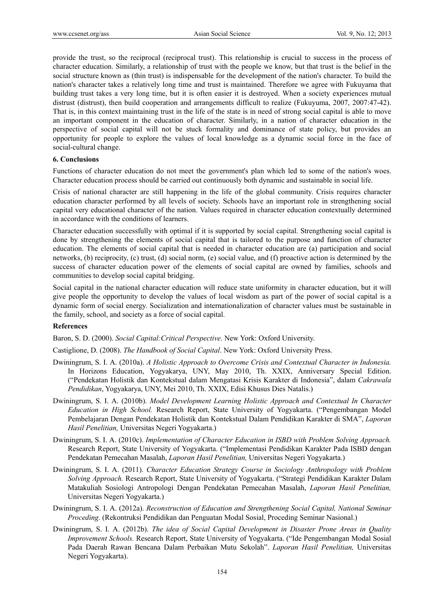provide the trust, so the reciprocal (reciprocal trust). This relationship is crucial to success in the process of character education. Similarly, a relationship of trust with the people we know, but that trust is the belief in the social structure known as (thin trust) is indispensable for the development of the nation's character. To build the nation's character takes a relatively long time and trust is maintained. Therefore we agree with Fukuyama that building trust takes a very long time, but it is often easier it is destroyed. When a society experiences mutual distrust (distrust), then build cooperation and arrangements difficult to realize (Fukuyuma, 2007, 2007:47-42). That is, in this context maintaining trust in the life of the state is in need of strong social capital is able to move an important component in the education of character. Similarly, in a nation of character education in the perspective of social capital will not be stuck formality and dominance of state policy, but provides an opportunity for people to explore the values of local knowledge as a dynamic social force in the face of social-cultural change.

## **6. Conclusions**

Functions of character education do not meet the government's plan which led to some of the nation's woes. Character education process should be carried out continuously both dynamic and sustainable in social life.

Crisis of national character are still happening in the life of the global community. Crisis requires character education character performed by all levels of society. Schools have an important role in strengthening social capital very educational character of the nation. Values required in character education contextually determined in accordance with the conditions of learners.

Character education successfully with optimal if it is supported by social capital. Strengthening social capital is done by strengthening the elements of social capital that is tailored to the purpose and function of character education. The elements of social capital that is needed in character education are (a) participation and social networks, (b) reciprocity, (c) trust, (d) social norm, (e) social value, and (f) proactive action is determined by the success of character education power of the elements of social capital are owned by families, schools and communities to develop social capital bridging.

Social capital in the national character education will reduce state uniformity in character education, but it will give people the opportunity to develop the values of local wisdom as part of the power of social capital is a dynamic form of social energy. Socialization and internationalization of character values must be sustainable in the family, school, and society as a force of social capital.

#### **References**

Baron, S. D. (2000). *Social Capital:Critical Perspective*. New York: Oxford University.

Castiglione, D. (2008). *The Handbook of Social Capital*. New York: Oxford University Press.

- Dwiningrum, S. I. A. (2010a). *A Holistic Approach to Overcome Crisis and Contextual Character in Indonesia.*  In Horizons Education, Yogyakarya, UNY, May 2010, Th. XXIX, Anniversary Special Edition. ("Pendekatan Holistik dan Kontekstual dalam Mengatasi Krisis Karakter di Indonesia", dalam *Cakrawala Pendidikan*, Yogyakarya, UNY, Mei 2010, Th. XXIX, Edisi Khusus Dies Natalis.)
- Dwiningrum, S. I. A. (2010b). *Model Development Learning Holistic Approach and Contextual In Character Education in High School.* Research Report, State University of Yogyakarta. ("Pengembangan Model Pembelajaran Dengan Pendekatan Holistik dan Kontekstual Dalam Pendidikan Karakter di SMA", *Laporan Hasil Penelitian,* Universitas Negeri Yogyakarta.)
- Dwiningrum, S. I. A. (2010c). *Implementation of Character Education in ISBD with Problem Solving Approach.*  Research Report, State University of Yogyakarta. ("Implementasi Pendidikan Karakter Pada ISBD dengan Pendekatan Pemecahan Masalah, *Laporan Hasil Penelitian,* Universitas Negeri Yogyakarta.)
- Dwiningrum, S. I. A. (2011). *Character Education Strategy Course in Sociology Anthropology with Problem Solving Approach.* Research Report, State University of Yogyakarta. ("Strategi Pendidikan Karakter Dalam Matakuliah Sosiologi Antropologi Dengan Pendekatan Pemecahan Masalah, *Laporan Hasil Penelitian,*  Universitas Negeri Yogyakarta.)
- Dwiningrum, S. I. A. (2012a). *Reconstruction of Education and Strengthening Social Capital, National Seminar Proceding.* (Rekontruksi Pendidikan dan Penguatan Modal Sosial, Proceding Seminar Nasional.)
- Dwiningrum, S. I. A. (2012b). *The idea of Social Capital Development in Disaster Prone Areas in Quality Improvement Schools.* Research Report, State University of Yogyakarta. ("Ide Pengembangan Modal Sosial Pada Daerah Rawan Bencana Dalam Perbaikan Mutu Sekolah". *Laporan Hasil Penelitian,* Universitas Negeri Yogyakarta).